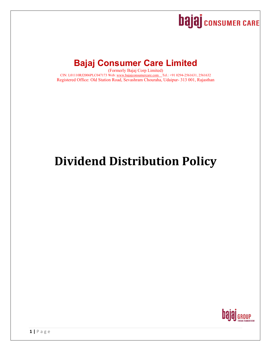# **bajaj** consumer CARE

## **Bajaj Consumer Care Limited**

(Formerly Bajaj Corp Limited) CIN: L01110RJ2006PLC047173 Web: www.bajajconsumercare.com Tel.: +91 0294-2561631, 2561632 Registered Office: Old Station Road, Sevashram Chouraha, Udaipur- 313 001, Rajasthan

# **Dividend Distribution Policy**

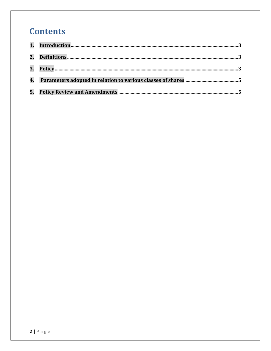## **Contents**

| 3. |  |
|----|--|
| 4. |  |
| 5. |  |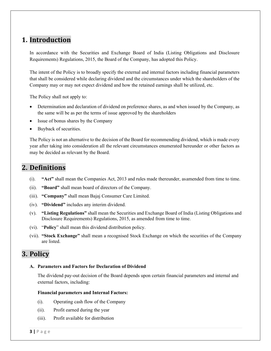## **1. Introduction**

In accordance with the Securities and Exchange Board of India (Listing Obligations and Disclosure Requirements) Regulations, 2015, the Board of the Company, has adopted this Policy.

The intent of the Policy is to broadly specify the external and internal factors including financial parameters that shall be considered while declaring dividend and the circumstances under which the shareholders of the Company may or may not expect dividend and how the retained earnings shall be utilized, etc.

The Policy shall not apply to:

- Determination and declaration of dividend on preference shares, as and when issued by the Company, as the same will be as per the terms of issue approved by the shareholders
- Issue of bonus shares by the Company
- Buyback of securities.

The Policy is not an alternative to the decision of the Board for recommending dividend, which is made every year after taking into consideration all the relevant circumstances enumerated hereunder or other factors as may be decided as relevant by the Board.

## **2. Definitions**

- (i). **"Act"** shall mean the Companies Act, 2013 and rules made thereunder, as amended from time to time.
- (ii). **"Board"** shall mean board of directors of the Company.
- (iii). **"Company"** shall mean Bajaj Consumer Care Limited.
- (iv). **"Dividend"** includes any interim dividend.
- (v). **"Listing Regulations"** shall mean the Securities and Exchange Board of India (Listing Obligations and Disclosure Requirements) Regulations, 2015, as amended from time to time.
- (vi). "**Policy**" shall mean this dividend distribution policy.
- (vii). **"Stock Exchange"** shall mean a recognised Stock Exchange on which the securities of the Company are listed.

## **3. Policy**

#### **A. Parameters and Factors for Declaration of Dividend**

The dividend pay-out decision of the Board depends upon certain financial parameters and internal and external factors, including:

#### **Financial parameters and Internal Factors:**

- (i). Operating cash flow of the Company
- (ii). Profit earned during the year
- (iii). Profit available for distribution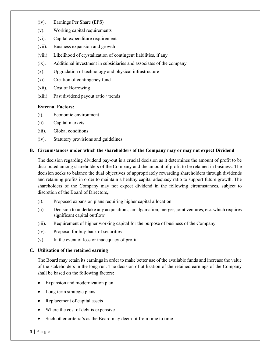- (iv). Earnings Per Share (EPS)
- (v). Working capital requirements
- (vi). Capital expenditure requirement
- (vii). Business expansion and growth
- (viii). Likelihood of crystalization of contingent liabilities, if any
- (ix). Additional investment in subsidiaries and associates of the company
- (x). Upgradation of technology and physical infrastructure
- (xi). Creation of contingency fund
- (xii). Cost of Borrowing
- (xiii). Past dividend payout ratio / trends

#### **External Factors:**

- (i). Economic environment
- (ii). Capital markets
- (iii). Global conditions
- (iv). Statutory provisions and guidelines

#### **B. Circumstances under which the shareholders of the Company may or may not expect Dividend**

The decision regarding dividend pay-out is a crucial decision as it determines the amount of profit to be distributed among shareholders of the Company and the amount of profit to be retained in business. The decision seeks to balance the dual objectives of appropriately rewarding shareholders through dividends and retaining profits in order to maintain a healthy capital adequacy ratio to support future growth. The shareholders of the Company may not expect dividend in the following circumstances, subject to discretion of the Board of Directors,:

- (i). Proposed expansion plans requiring higher capital allocation
- (ii). Decision to undertake any acquisitions, amalgamation, merger, joint ventures, etc. which requires significant capital outflow
- (iii). Requirement of higher working capital for the purpose of business of the Company
- (iv). Proposal for buy-back of securities
- (v). In the event of loss or inadequacy of profit

#### **C. Utilisation of the retained earning**

The Board may retain its earnings in order to make better use of the available funds and increase the value of the stakeholders in the long run. The decision of utilization of the retained earnings of the Company shall be based on the following factors:

- Expansion and modernization plan
- Long term strategic plans
- Replacement of capital assets
- Where the cost of debt is expensive
- Such other criteria's as the Board may deem fit from time to time.